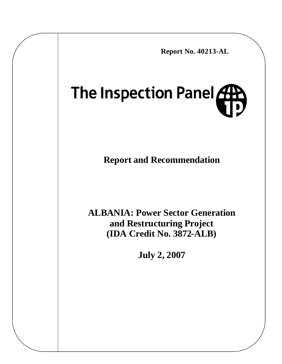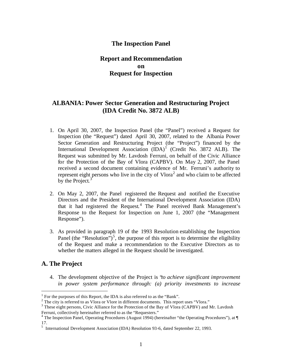## **The Inspection Panel**

# **Report and Recommendation on Request for Inspection**

# **ALBANIA: Power Sector Generation and Restructuring Project (IDA Credit No. 3872 ALB)**

- 1. On April 30, 2007, the Inspection Panel (the "Panel") received a Request for Inspection (the "Request") dated April 30, 2007, related to the Albania Power Sector Generation and Restructuring Project (the "Project") financed by the International Development Association  $(IDA)^1$  (Credit No. 3872 ALB). The Request was submitted by Mr. Lavdosh Ferruni, on behalf of the Civic Alliance for the Protection of the Bay of Vlora (CAPBV). On May 2, 2007, the Panel received a second document containing evidence of Mr. Ferruni's authority to represent eight persons who live in the city of  $Vlora<sup>2</sup>$  and who claim to be affected by the Project. $3$
- 2. On May 2, 2007, the Panel registered the Request and notified the Executive Directors and the President of the International Development Association (IDA) that it had registered the Request. 4 The Panel received Bank Management's Response to the Request for Inspection on June 1, 2007 (the "Management Response").
- 3. As provided in paragraph 19 of the 1993 Resolution establishing the Inspection Panel (the "Resolution")<sup>5</sup>, the purpose of this report is to determine the eligibility of the Request and make a recommendation to the Executive Directors as to whether the matters alleged in the Request should be investigated.

# **A. The Project**

 $\overline{a}$ 

4. The development objective of the Project is "*to achieve significant improvement in power system performance through: (a) priority investments to increase*

<sup>&</sup>lt;sup>1</sup> For the purposes of this Report, the IDA is also referred to as the "Bank".

 $2^2$  The city is referred to as Vlora or Vlore in different documents. This report uses "Vlora."

<sup>&</sup>lt;sup>3</sup> These eight persons, Civic Alliance for the Protection of the Bay of Vlora (CAPBV) and Mr. Lavdosh Ferruni, collectively hereinafter referred to as the "Requesters."

<sup>&</sup>lt;sup>4</sup> The Inspection Panel, Operating Procedures (August 1994) (hereinafter "the Operating Procedures"), at ¶ 17.

<sup>&</sup>lt;sup>5</sup> International Development Association (IDA) Resolution 93-6, dated September 22, 1993.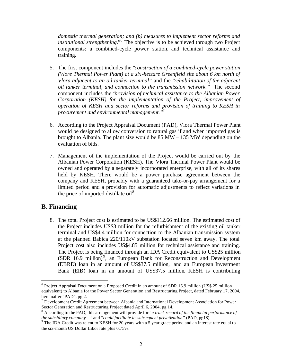*domestic thermal generation; and (b) measures to implement sector reforms and institutional strengthening*."<sup>6</sup> The objective is to be achieved through two Project components: a combined-cycle power station, and technical assistance and training.

- 5. The first component includes the "*construction of a combined-cycle power station (Vlore Thermal Power Plant) at a six -hectare Greenfield site about 6 km north of Vlora adjacent to an oil tanker terminal"* and the "*rehabilitation of the adjacent oil tanker terminal, and connection to the transmission network."* The second component includes the "*provision of technical assistance to the Albanian Power Corporation (KESH) for the implementation of the Project, improvement of operation of KESH and sector reforms and provision of training to KESH in procurement and environmental management*."<sup>7</sup>
- 6. According to the Project Appraisal Document (PAD), Vlora Thermal Power Plant would be designed to allow conversion to natural gas if and when imported gas is brought to Albania. The plant size would be 85 MW – 135 MW depending on the evaluation of bids.
- 7. Management of the implementation of the Project would be carried out by the Albanian Power Corporation (KESH). The Vlora Thermal Power Plant would be owned and operated by a separately incorporated enterprise, with all of its shares held by KESH. There would be a power purchase agreement between the company and KESH, probably with a guaranteed take-or-pay arrangement for a limited period and a provision for automatic adjustments to reflect variations in the price of imported distillate  $oil<sup>8</sup>$ .

# **B. Financing**

 $\overline{a}$ 

8. The total Project cost is estimated to be US\$112.66 million. The estimated cost of the Project includes US\$3 million for the refurbishment of the existing oil tanker terminal and US\$4.4 million for connection to the Albanian transmission system at the planned Babica 220/110kV substation located seven km away. The total Project cost also includes US\$4.85 million for technical assistance and training. The Project is being financed through an IDA Credit equivalent to US\$25 million (SDR 16.9 million)<sup>9</sup>, an European Bank for Reconstruction and Development (EBRD) loan in an amount of US\$37.5 million, and an European Investment Bank (EIB) loan in an amount of US\$37.5 million. KESH is contributing

<sup>&</sup>lt;sup>6</sup> Project Appraisal Document on a Proposed Credit in an amount of SDR 16.9 million (US\$ 25 million equivalent) to Albania for the Power Sector Generation and Restructuring Project, dated February 17, 2004, hereinafter "PAD", pg.2.

<sup>&</sup>lt;sup>7</sup> Development Credit Agreement between Albania and International Development Association for Power Sector Generation and Restructuring Project dated April 6, 2004, pg.14.

<sup>8</sup> According to the PAD, this arrangement will provide for "*a track record of the financial performance of*  the subsidiary company..." and "*could facilitate its subsequent privatization*" (PAD, pg18).<br><sup>9</sup> The IDA Credit was relent to KESH for 20 years with a 5 year grace period and an interest rate equal to

the six-month US Dollar Libor rate plus 0.75%.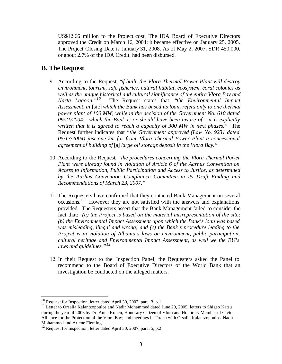US\$12.66 million to the Project cost. The IDA Board of Executive Directors approved the Credit on March 16, 2004; it became effective on January 25, 2005. The Project Closing Date is January 31, 2008. As of May 2, 2007, SDR 450,000, or about 2.7% of the IDA Credit, had been disbursed.

## **B. The Request**

- 9. According to the Request, "*if built, the Vlora Thermal Power Plant will destroy environment, tourism, safe fisheries, natural habitat, ecosystem, coral colonies as well as the unique historical and cultural significance of the entire Vlora Bay and Narta Lagoon."<sup>10</sup>* The Request states that, "*the Environmental Impact Assessment, in* [sic] *which the Bank has based its loan, refers only to one thermal power plant of 100 MW, while in the decision of the Government No. 610 dated 09/21/2004 - which the Bank is or should have been aware of - it is explicitly written that it is agreed to reach a capacity of 300 MW in next phases."* The Request further indicates that *"the Government approved (Law No. 9231 dated 05/13/2004) just one km far from Vlora Thermal Power Plant a concessional agreement of building of* [a] *large oil storage deposit in the Vlora Bay."*
- 10. According to the Request*, "the procedures concerning the Vlora Thermal Power Plant were already found in violation of Article 6 of the Aarhus Convention on Access to Information, Public Participation and Access to Justice, as determined by the Aarhus Convention Compliance Committee in its Draft Finding and Recommendations of March 23, 2007."*
- 11. The Requesters have confirmed that they contacted Bank Management on several occasions.<sup>11</sup> However they are not satisfied with the answers and explanations provided. The Requesters assert that the Bank Management failed to consider the fact that: "*(a) the Project is based on the material misrepresentation of the site; (b) the Environmental Impact Assessment upon which the Bank's loan was based was misleading, illegal and wrong; and (c) the Bank's procedure leading to the Project is in violation of Albania's laws on environment, public participation, cultural heritage and Environmental Impact Assessment, as well we the EU's laws and guidelines."<sup>12</sup>*
- 12. In their Request to the Inspection Panel, the Requesters asked the Panel to recommend to the Board of Executive Directors of the World Bank that an investigation be conducted on the alleged matters.

 $10$  Request for Inspection, letter dated April 30, 2007, para. 3, p.1

<sup>&</sup>lt;sup>11</sup> Letter to Orsalia Kalantzopoulos and Nadir Mohammed dated June 20, 2005; letters to Shigeo Katsu during the year of 2006 by Dr. Anna Kohen, Honorary Citizen of Vlora and Honorary Member of Civic Alliance for the Protection of the Vlora Bay; and meetings in Tirana with Orsalia Kalantzopoulos, Nadir Mohammed and Arlene Fleming.

 $12$  Request for Inspection, letter dated April 30, 2007, para. 5, p.2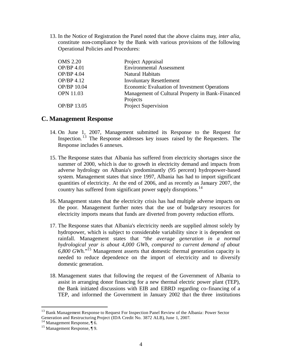13. In the Notice of Registration the Panel noted that the above claims may, *inter alia,*  constitute non-compliance by the Bank with various provisions of the following Operational Policies and Procedures:

| <b>OMS 2.20</b>  | Project Appraisal                                |
|------------------|--------------------------------------------------|
| OP/BP 4.01       | <b>Environmental Assessment</b>                  |
| OP/BP 4.04       | Natural Habitats                                 |
| OP/BP 4.12       | <b>Involuntary Resettlement</b>                  |
| OP/BP 10.04      | Economic Evaluation of Investment Operations     |
| <b>OPN 11.03</b> | Management of Cultural Property in Bank-Financed |
|                  | Projects                                         |
| OP/BP 13.05      | Project Supervision                              |

### **C. Management Response**

- 14. On June 1, 2007, Management submitted its Response to the Request for Inspection. <sup>13</sup> The Response addresses key issues raised by the Requesters. The Response includes 6 annexes.
- 15. The Response states that Albania has suffered from electricity shortages since the summer of 2000, which is due to growth in electricity demand and impacts from adverse hydrology on Albania's predominantly (95 percent) hydropower-based system. Management states that since 1997, Albania has had to import significant quantities of electricity. At the end of 2006, and as recently as January 2007, the country has suffered from significant power supply disruptions.<sup>14</sup>
- 16. Management states that the electricity crisis has had multiple adverse impacts on the poor. Management further notes that the use of budge tary resources for electricity imports means that funds are diverted from poverty reduction efforts.
- 17. The Response states that Albania's electricity needs are supplied almost solely by hydropower, which is subject to considerable variability since it is dependent on rainfall. Management states that "*the average generation in a normal hydrological year is about 4,000 GWh, compared to current demand of about 6,800 GWh.*" <sup>15</sup> Management asserts that domestic thermal generation capacity is needed to reduce dependence on the import of electricity and to diversify domestic generation.
- 18. Management states that following the request of the Government of Albania to assist in arranging donor financing for a new thermal electric power plant (TEP), the Bank initiated discussions with EIB and EBRD regarding co-financing of a TEP, and informed the Government in January 2002 that the three institutions

<sup>&</sup>lt;sup>13</sup> Bank Management Response to Request For Inspection Panel Review of the Albania: Power Sector Generation and Restructuring Project (IDA Credit No. 3872 ALB), June 1, 2007.

 $14$  Management Response,  $\P$  6.

<sup>15</sup> Management Response, ¶ 9.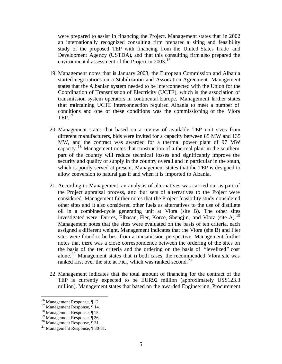were prepared to assist in financing the Project. Management states that in 2002 an internationally recognized consulting firm prepared a siting and feasibility study of the proposed TEP with financing from the United States Trade and Development Agency (USTDA), and that this consulting firm also prepared the environmental assessment of the Project in  $2003$ <sup>16</sup>

- 19. Management notes that in January 2003, the European Commission and Albania started negotiations on a Stabilization and Association Agreement. Management states that the Albanian system needed to be interconnected with the Union for the Coordination of Transmission of Electricity (UCTE), which is the association of transmission system operators in continental Europe. Management further states that maintaining UCTE interconnection required Albania to meet a number of conditions and one of these conditions was the commissioning of the Vlora  $\text{TEP}$ <sup>17</sup>
- 20. Management states that based on a review of available TEP unit sizes from different manufacturers, bids were invited for a capacity between 85 MW and 135 MW, and the contract was awarded for a thermal power plant of 97 MW capacity. <sup>18</sup> Management notes that construction of a thermal plant in the southern part of the country will reduce technical losses and significantly improve the security and quality of supply in the country overall and in particular in the south, which is poorly served at present. Management states that the TEP is designed to allow conversion to natural gas if and when it is imported to Albania.
- 21. According to Management, an analysis of alternatives was carried out as part of the Project appraisal process, and four sets of alternatives to the Project were considered. Management further notes that the Project feasibility study considered other sites and it also considered other fuels as alternatives to the use of distillate oil in a combined-cycle generating unit at Vlora (site B). The other sites investigated were: Durres, Elbasan, Fier, Korce, Shengjin, and Vlora (site A).<sup>19</sup> Management notes that the sites were evaluated on the basis of ten criteria, each assigned a different weight. Management indicates that the Vlora (site B) and Fier sites were found to be best from a transmission perspective. Management further notes that there was a close correspondence between the ordering of the sites on the basis of the ten criteria and the ordering on the basis of "levelized" cost alone.<sup>20</sup> Management states that in both cases, the recommended Vlora site was ranked first over the site at Fier, which was ranked second.<sup>21</sup>
- 22. Management indicates that the total amount of financing for the contract of the TEP is currently expected to be EUR92 million (approximately US\$123.3 million). Management states that based on the awarded Engineering, Procurement

 $16$  Management Response, ¶ 12.

<sup>&</sup>lt;sup>17</sup> Management Response, ¶ 14.

<sup>18</sup> Management Response, ¶ 15.

<sup>&</sup>lt;sup>19</sup> Management Response, ¶ 26.

<sup>20</sup> Management Response, ¶ 31.

<sup>21</sup> Management Response, ¶ 30-31.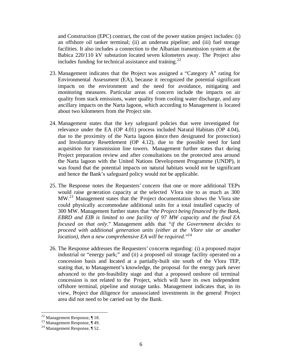and Construction (EPC) contract, the cost of the power station project includes: (i) an offshore oil tanker terminal; (ii) an undersea pipeline; and (iii) fuel storage facilities. It also includes a connection to the Albanian transmission system at the Babica 220/110 kV substation located seven kilometers away. The Project also includes funding for technical assistance and training.<sup>22</sup>

- 23. Management indicates that the Project was assigned a "Category A" rating for Environmental Assessment (EA), because it recognized the potential significant impacts on the environment and the need for avoidance, mitigating and monitoring measures. Particular areas of concern include the impacts on air quality from stack emissions, water quality from cooling water discharge, and any ancillary impacts on the Narta lagoon, which according to Management is located about two kilometers from the Project site.
- 24. Management states that the key safeguard policies that were investigated for relevance under the EA (OP 4.01) process included Natural Habitats (OP 4.04), due to the proximity of the Narta lagoon (since then designated for protection) and Involuntary Resettlement (OP 4.12), due to the possible need for land acquisition for transmission line towers. Management further states that during Project preparation review and after consultations on the protected area around the Narta lagoon with the United Nations Development Programme (UNDP), it was found that the potential impacts on natural habitats would not be significant and hence the Bank's safeguard policy would not be applicable.
- 25. The Response notes the Requesters' concern that one or more additional TEPs would raise generation capacity at the selected Vlora site to as much as 300  $MW<sup>23</sup>$  Management states that the Project documentation shows the Vlora site could physically accommodate additional units for a total installed capacity of 300 MW. Management further states that "*the Project being financed by the Bank, EBRD and EIB is limited to one facility of 97 MW capacity and the final EA focused on that only*." Management adds that "*if the Government decides to proceed with additional generation units (either at the Vlore site or another location), then a new comprehensive EA will be required.*" 24
- 26. The Response addresses the Requesters' concerns regarding: (i) a proposed major industrial or "energy park;" and (ii) a proposed oil storage facility operated on a concession basis and located at a partially-built site south of the Vlora TEP, stating that, to Management's knowledge, the proposal for the energy park never advanced to the pre-feasibility stage and that a proposed onshore oil terminal concession is not related to the Project, which will have its own independent offshore terminal, pipeline and storage tanks. Management indicates that, in its view, Project due diligence for unassociated investments in the general Project area did not need to be carried out by the Bank.

 $22$  Management Response, ¶ 18.

 $23$  Management Response,  $\P$ 49.

<sup>24</sup> Management Response, ¶ 52.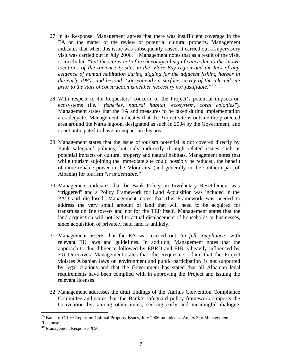- 27. In its Response, Management agrees that there was insufficient coverage in the EA on the matter of the review of potential cultural property. Management indicates that when this issue was subsequently raised, it carried out a supervisory visit was carried out in July 2006.<sup>25</sup> Management notes that as a result of the visit, it concluded "*that the site is not of archaeological significance due to the known locations of the ancient city sites in the Vlore Bay region and the lack of any evidence of human habitation during digging for the adjacent fishing harbor in the early 1980s and beyond. Consequently a surface survey of the selected site prior to the start of construction is neither necessary nor justifiable."<sup>26</sup>*
- 28. With respect to the Requesters' concern of the Project's potential impacts on ecosystems (i.e. *"fisheries, natural habitat, ecosystem, coral colonies*"), Management states that the EA and measures to be taken during implementation are adequate. Management indicates that the Project site is outside the protected area around the Narta lagoon, designated as such in 2004 by the Government, and is not anticipated to have an impact on this area.
- 29. Management states that the issue of tourism potential is not covered directly by Bank safeguard policies, but only indirectly through related issues such as potential impacts on cultural property and natural habitats. Management notes that while tourism adjoining the immediate site could possibly be reduced, the benefit of more reliable power in the Vlora area (and generally in the southern part of Albania) for tourism "*is undeniable*."
- 30. Management indicates that the Bank Policy on Involuntary Resettlement was "triggered" and a Policy Framework for Land Acquisition was included in the PAD and disclosed. Management notes that this Framework was needed to address the very small amount of land that will need to be acquired for transmission line towers and not for the TEP itself. Management states that the land acquisition will not lead to actual displacement of households or businesses, since acquisition of privately held land is unlikely.
- 31. Management asserts that the EA was carried out "*in full compliance*" with relevant EU laws and guidelines. In addition, Management notes that the approach to due diligence followed by EBRD and EIB is heavily influenced by EU Directives. Management states that the Requesters' claim that the Project violates Albanian laws on environment and public participation is not supported by legal citations and that the Government has stated that all Albanian legal requirements have been complied with in approving the Project and issuing the relevant licenses.
- 32. Management addresses the draft findings of the Aarhus Convention Compliance Committee and states that the Bank's safeguard policy framework supports the Convention by, among other items, seeking early and meaningful dialogue.

 $25$  Back-to-Office Report on Cultural Property Issues, July 2006 included as Annex 3 to Management Response.

<sup>26</sup> Management Response, ¶ 56.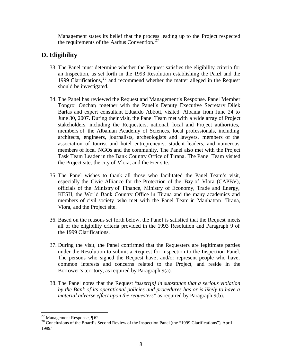Management states its belief that the process leading up to the Project respected the requirements of the Aarhus Convention.  $27$ 

# **D. Eligibility**

- 33. The Panel must determine whether the Request satisfies the eligibility criteria for an Inspection, as set forth in the 1993 Resolution establishing the Panel and the 1999 Clarifications, <sup>28</sup> and recommend whether the matter alleged in the Request should be investigated.
- 34. The Panel has reviewed the Request and Management's Response. Panel Member Tongroj Onchan, together with the Panel's Deputy Executive Secretary Dilek Barlas and expert consultant Eduardo Abbott, visited Albania from June 24 to June 30, 2007. During their visit, the Panel Team met with a wide array of Project stakeholders, including the Requesters, national, local and Project authorities, members of the Albanian Academy of Sciences, local professionals, including architects, engineers, journalists, archeologists and lawyers, members of the association of tourist and hotel entrepreneurs, student leaders, and numerous members of local NGOs and the community. The Panel also met with the Project Task Team Leader in the Bank Country Office of Tirana. The Panel Team visited the Project site, the city of Vlora, and the Fier site.
- 35. The Panel wishes to thank all those who facilitated the Panel Team's visit, especially the Civic Alliance for the Protection of the Bay of Vlora (CAPBV), officials of the Ministry of Finance, Ministry of Economy, Trade and Energy, KESH, the World Bank Country Office in Tirana and the many academics and members of civil society who met with the Panel Team in Manhattan, Tirana, Vlora, and the Project site.
- 36. Based on the reasons set forth below, the Pane l is satisfied that the Request meets all of the eligibility criteria provided in the 1993 Resolution and Paragraph 9 of the 1999 Clarifications.
- 37. During the visit, the Panel confirmed that the Requesters are legitimate parties under the Resolution to submit a Request for Inspection to the Inspection Panel. The persons who signed the Request have, and/or represent people who have, common interests and concerns related to the Project, and reside in the Borrower's territory, as required by Paragraph 9(a).
- 38. The Panel notes that the Request "*assert[s] in substance that a serious violation by the Bank of its operational policies and procedures has or is likely to have a material adverse effect upon the requesters*" as required by Paragraph 9(b).

<sup>&</sup>lt;sup>27</sup> Management Response,  $\P$  62.

<sup>28</sup> Conclusions of the Board's Second Review of the Inspection Panel (the "1999 Clarifications")*,* April 1999..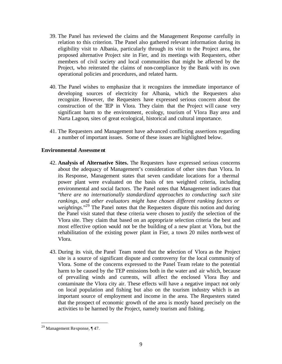- 39. The Panel has reviewed the claims and the Management Response carefully in relation to this criterion. The Panel also gathered relevant information during its eligibility visit to Albania, particularly through its visit to the Project area, the proposed alternative Project site in Fier, and its meetings with Requesters, other members of civil society and local communities that might be affected by the Project, who reiterated the claims of non-compliance by the Bank with its own operational policies and procedures, and related harm.
- 40. The Panel wishes to emphasize that it recognizes the immediate importance of developing sources of electricity for Albania, which the Requesters also recognize. However, the Requesters have expressed serious concern about the construction of the TEP in Vlora. They claim that the Project will cause very significant harm to the environment, ecology, tourism of Vlora Bay area and Narta Lagoon, sites of great ecological, historical and cultural importance.
- 41. The Requesters and Management have advanced conflicting assertions regarding a number of important issues. Some of these issues are highlighted below.

### **Environmental Assessment**

- 42. **Analysis of Alternative Sites.** The Requesters have expressed serious concerns about the adequacy of Management's consideration of other sites than Vlora. In its Response, Management states that seven candidate locations for a thermal power plant were evaluated on the basis of ten weighted criteria, including environmental and social factors. The Panel notes that Management indicates that "*there are no internationally standardized approaches to conducting such site rankings, and other evaluators might have chosen different ranking factors or*  weightings."<sup>29</sup> The Panel notes that the Requesters dispute this notion and during the Panel visit stated that these criteria were chosen to justify the selection of the Vlora site. They claim that based on an appropria te selection criteria the best and most effective option would not be the building of a new plant at Vlora, but the rehabilitation of the existing power plant in Fier, a town 20 miles north-west of Vlora.
- 43. During its visit, the Panel Team noted that the selection of Vlora as the Project site is a source of significant dispute and controversy for the local community of Vlora. Some of the concerns expressed to the Panel Team relate to the potential harm to be caused by the TEP emissions both in the water and air which, because of prevailing winds and currents, will affect the enclosed Vlora Bay and contaminate the Vlora city air. These effects will have a negative impact not only on local population and fishing but also on the tourism industry which is an important source of employment and income in the area. The Requesters stated that the prospect of economic growth of the area is mostly based precisely on the activities to be harmed by the Project, namely tourism and fishing.

<sup>29</sup> Management Response, ¶ 47.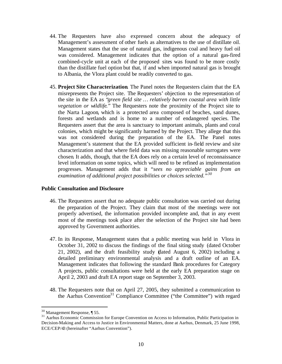- 44. The Requesters have also expressed concern about the adequacy of Management's assessment of other fuels as alternatives to the use of distillate oil. Management states that the use of natural gas, indigenous coal and heavy fuel oil was considered. Management indicates that the option of a natural gas-fired combined-cycle unit at each of the proposed sites was found to be more costly than the distillate fuel option but that, if and when imported natural gas is brought to Albania, the Vlora plant could be readily converted to gas.
- 45. **Project Site Characterization**. The Panel notes the Requesters claim that the EA misrepresents the Project site. The Requesters' objection to the representation of the site in the EA as "*green field site … relatively barren coastal area with little vegetation or wildlife.*" The Requesters note the proximity of the Project site to the Narta Lagoon, which is a protected area composed of beaches, sand dunes, forests and wetlands and is home to a number of endangered species. The Requesters assert that the area is sanctuary to important animals, plants and coral colonies, which might be significantly harmed by the Project. They allege that this was not considered during the preparation of the EA. The Panel notes Management's statement that the EA provided sufficient in-field review and site characterization and that where field data was missing reasonable surrogates were chosen. It adds, though, that the EA does rely on a certain level of reconnaissance level information on some topics, which will need to be refined as implementation progresses. Management adds that it "*sees no appreciable gains from an examination of additional project possibilities or choices selected."<sup>30</sup>*

### **Public Consultation and Disclosure**

- 46. The Requesters assert that no adequate public consultation was carried out during the preparation of the Project. They claim that most of the meetings were not properly advertised, the information provided incomplete and, that in any event most of the meetings took place after the selection of the Project site had been approved by Government authorities.
- 47. In its Response, Management states that a public meeting was held in Vlora in October 31, 2002 to discuss the findings of the final siting study (dated October 21, 2002), and the draft feasibility study (dated August 6, 2002) including a detailed preliminary environmental analysis and a draft outline of an EA. Management indicates that following the standard Bank procedures for Category A projects, public consultations were held at the early EA preparation stage on April 2, 2003 and draft EA report stage on September 3, 2003.
- 48. The Requesters note that on April 27, 2005, they submitted a communication to the Aarhus Convention<sup>31</sup> Compliance Committee ("the Committee") with regard

<sup>30</sup> Management Response, ¶ 55.

<sup>&</sup>lt;sup>31</sup> Aarhus Economic Commission for Europe Convention on Access to Information, Public Participation in Decision-Making and Access to Justice in Environmental Matters, done at Aarhus, Denmark, 25 June 1998, ECE/CEP/43 (hereinafter "Aarhus Convention").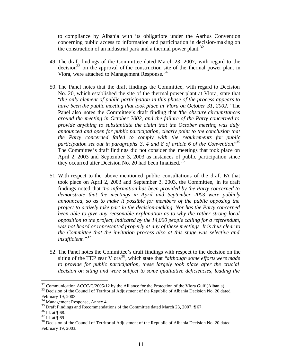to compliance by Albania with its obligations under the Aarhus Convention concerning public access to information and participation in decision-making on the construction of an industrial park and a thermal power plant.<sup>32</sup>

- 49. The draft findings of the Committee dated March 23, 2007, with regard to the  $decision<sup>33</sup>$  on the approval of the construction site of the thermal power plant in Vlora, were attached to Management Response.<sup>34</sup>
- 50. The Panel notes that the draft findings the Committee, with regard to Decision No. 20, which established the site of the thermal power plant at Vlora, state that "*the only element of public participation in this phase of the process appears to have been the public meeting that took place in Vlora on October 31, 2002*." The Panel also notes the Committee's draft finding that "*the obscure circumstances around the meeting in October 2002, and the failure of the Party concerned to provide anything to substantiate the claim that the October meeting was duly announced and open for public participation, clearly point to the conclusion that the Party concerned failed to comply with the requirements for public participation set out in paragraphs 3, 4 and 8 of article 6 of the Convention*."<sup>35</sup> The Committee's draft findings did not consider the meetings that took place on April 2, 2003 and September 3, 2003 as instances of public participation since they occurred after Decision No. 20 had been finalized.<sup>36</sup>
- 51. With respect to the above mentioned public consultations of the draft EA that took place on April 2, 2003 and September 3, 2003, the Committee, in its draft findings noted that "*no information has been provided by the Party concerned to demonstrate that the meetings in April and September 2003 were publicly announced, so as to make it possible for members of the public opposing the project to actively take part in the decision-making. Nor has the Party concerned been able to give any reasonable explanation as to why the rather strong local opposition to the project, indicated by the 14,000 people calling for a referendum, was not heard or represented properly at any of these meetings. It is thus clear to the Committee that the invitation process also at this stage was selective and insufficient."<sup>37</sup>*
- 52. The Panel notes the Committee's draft findings with respect to the decision on the siting of the TEP near Vlora<sup>38</sup>, which state that "*although some efforts were made* to provide for public participation, these largely took place after the crucial *decision on siting and were subject to some qualitative deficiencies, leading the*

<sup>&</sup>lt;sup>32</sup> Communication ACCC/C/2005/12 by the Alliance for the Protection of the Vlora Gulf (Albania).

<sup>&</sup>lt;sup>33</sup> Decision of the Council of Territorial Adjustment of the Republic of Albania Decision No. 20 dated February 19, 2003.

<sup>34</sup> Management Response, Annex 4.

 $35$  Draft Findings and Recommendations of the Committee dated March 23, 2007,  $\P$  67.

 $36$  Id. at ¶ 68.

 $37$  Id. at  $\frac{1}{10}$  69.

<sup>&</sup>lt;sup>38</sup> Decision of the Council of Territorial Adjustment of the Republic of Albania Decision No. 20 dated February 19, 2003.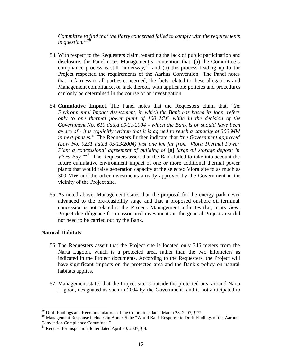*Committee to find that the Party concerned failed to comply with the requirements in question."<sup>39</sup>*

- 53. With respect to the Requesters claim regarding the lack of public participation and disclosure, the Panel notes Management's contention that: (a) the Committee's compliance process is still underway,  $40$  and (b) the process leading up to the Project respected the requirements of the Aarhus Convention. The Panel notes that in fairness to all parties concerned, the facts related to these allegations and Management compliance, or lack thereof, with applicable policies and procedures can only be determined in the course of an investigation.
- 54. **Cumulative Impact**. The Panel notes that the Requesters claim that, "*the Environmental Impact Assessment, in which the Bank has based its loan, refers only to one thermal power plant of 100 MW, while in the decision of the Government No. 610 dated 09/21/2004 - which the Bank is or should have been aware of - it is explicitly written that it is agreed to reach a capacity of 300 MW in next phases."* The Requesters further indicate that "*the Government approved (Law No. 9231 dated 05/13/2004) just one km far from Vlora Thermal Power Plant a concessional agreement of building of* [a] *large oil storage deposit in Vlora Bay.*<sup>41</sup> The Requesters assert that the Bank failed to take into account the future cumulative environment impact of one or more additional thermal power plants that would raise generation capacity at the selected Vlora site to as much as 300 MW and the other investments already approved by the Government in the vicinity of the Project site.
- 55. As noted above, Management states that the proposal for the energy park never advanced to the pre-feasibility stage and that a proposed onshore oil terminal concession is not related to the Project. Management indicates that, in its view, Project due diligence for unassociated investments in the general Project area did not need to be carried out by the Bank.

#### **Natural Habitats**

- 56. The Requesters assert that the Project site is located only 746 meters from the Narta Lagoon, which is a protected area, rather than the two kilometers as indicated in the Project documents. According to the Requesters, the Project will have significant impacts on the protected area and the Bank's policy on natural habitats applies.
- 57. Management states that the Project site is outside the protected area around Narta Lagoon, designated as such in 2004 by the Government, and is not anticipated to

<sup>&</sup>lt;sup>39</sup> Draft Findings and Recommendations of the Committee dated March 23, 2007, ¶ 77.

<sup>&</sup>lt;sup>40</sup> Management Response includes in Annex 5 the "World Bank Response to Draft Findings of the Aarhus Convention Compliance Committee."

<sup>&</sup>lt;sup>41</sup> Request for Inspection, letter dated April 30, 2007,  $\P$  4.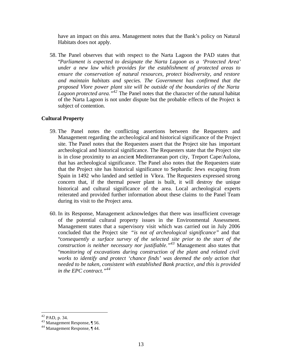have an impact on this area. Management notes that the Bank's policy on Natural Habitats does not apply.

58. The Panel observes that with respect to the Narta Lagoon the PAD states that "*Parliament is expected to designate the Narta Lagoon as a 'Protected Area' under a new law which provides for the establishment of protected areas to ensure the conservation of natural resources, protect biodiversity, and restore and maintain habitats and species. The Government has confirmed that the proposed Vlore power plant site will be outside of the boundaries of the Narta Lagoon protected area." <sup>42</sup>* The Panel notes that the character of the natural habitat of the Narta Lagoon is not under dispute but the probable effects of the Project is subject of contention.

### **Cultural Property**

- 59. The Panel notes the conflicting assertions between the Requesters and Management regarding the archeological and historical significance of the Project site. The Panel notes that the Requesters assert that the Project site has important archeological and historical significance. The Requesters state that the Project site is in close proximity to an ancient Mediterranean port city, Treport Cape/Aulona, that has archeological significance. The Panel also notes that the Requesters state that the Project site has historical significance to Sephardic Jews escaping from Spain in 1492 who landed and settled in Vlora. The Requesters expressed strong concern that, if the thermal power plant is built, it will destroy the unique historical and cultural significance of the area. Local archeological experts reiterated and provided further information about these claims to the Panel Team during its visit to the Project area.
- 60. In its Response, Management acknowledges that there was insufficient coverage of the potential cultural property issues in the Environmental Assessment. Management states that a supervisory visit which was carried out in July 2006 concluded that the Project site *"is not of archeological significance"* and that "c*onsequently a surface survey of the selected site prior to the start of the construction is neither necessary nor justifiable."<sup>43</sup>* Management also states that "*monitoring of excavations during construction of the plant and related civil works to identify and protect 'chance finds' was deemed the only action that needed to be taken, consistent with established Bank practice, and this is provided in the EPC contract."<sup>44</sup>*

 $42$  PAD, p. 34.

<sup>43</sup> Management Response, ¶ 56.

<sup>44</sup> Management Response, ¶ 44.